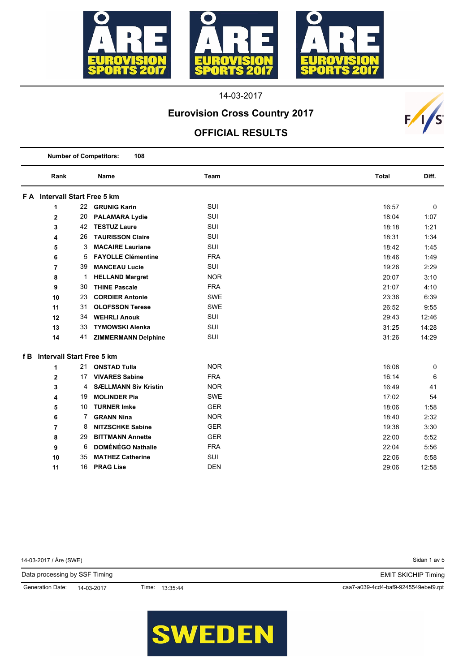

# **Eurovision Cross Country 2017**

### **OFFICIAL RESULTS**

 $F/1/s$ 

|     | <b>Number of Competitors:</b><br>108 |    |                             |            |              |       |
|-----|--------------------------------------|----|-----------------------------|------------|--------------|-------|
|     | Rank                                 |    | <b>Name</b>                 | Team       | <b>Total</b> | Diff. |
|     | F A Intervall Start Free 5 km        |    |                             |            |              |       |
|     | 1                                    |    | 22 GRUNIG Karin             | SUI        | 16:57        | 0     |
|     | $\overline{2}$                       | 20 | <b>PALAMARA Lydie</b>       | <b>SUI</b> | 18:04        | 1:07  |
|     | 3                                    | 42 | <b>TESTUZ Laure</b>         | <b>SUI</b> | 18:18        | 1:21  |
|     | 4                                    | 26 | <b>TAURISSON Claire</b>     | <b>SUI</b> | 18:31        | 1:34  |
|     | 5                                    | 3  | <b>MACAIRE Lauriane</b>     | <b>SUI</b> | 18:42        | 1:45  |
|     | 6                                    | 5  | <b>FAYOLLE Clémentine</b>   | <b>FRA</b> | 18:46        | 1:49  |
|     | 7                                    | 39 | <b>MANCEAU Lucie</b>        | <b>SUI</b> | 19:26        | 2:29  |
|     | 8                                    | 1  | <b>HELLAND Margret</b>      | <b>NOR</b> | 20:07        | 3:10  |
|     | 9                                    | 30 | <b>THINE Pascale</b>        | <b>FRA</b> | 21:07        | 4:10  |
|     | 10                                   | 23 | <b>CORDIER Antonie</b>      | SWE        | 23:36        | 6:39  |
|     | 11                                   | 31 | <b>OLOFSSON Terese</b>      | <b>SWE</b> | 26:52        | 9:55  |
|     | 12                                   | 34 | <b>WEHRLI Anouk</b>         | <b>SUI</b> | 29:43        | 12:46 |
|     | 13                                   | 33 | <b>TYMOWSKI Alenka</b>      | SUI        | 31:25        | 14:28 |
|     | 14                                   | 41 | <b>ZIMMERMANN Delphine</b>  | SUI        | 31:26        | 14:29 |
| f B | <b>Intervall Start Free 5 km</b>     |    |                             |            |              |       |
|     | 1                                    | 21 | <b>ONSTAD Tulla</b>         | <b>NOR</b> | 16:08        | 0     |
|     | $\overline{2}$                       | 17 | <b>VIVARES Sabine</b>       | <b>FRA</b> | 16:14        | 6     |
|     | 3                                    | 4  | <b>SÆLLMANN Siv Kristin</b> | <b>NOR</b> | 16:49        | 41    |
|     | 4                                    | 19 | <b>MOLINDER Pia</b>         | <b>SWE</b> | 17:02        | 54    |
|     | 5                                    | 10 | <b>TURNER Imke</b>          | <b>GER</b> | 18:06        | 1:58  |
|     | 6                                    | 7  | <b>GRANN Nina</b>           | <b>NOR</b> | 18:40        | 2:32  |
|     | $\overline{7}$                       | 8  | <b>NITZSCHKE Sabine</b>     | <b>GER</b> | 19:38        | 3:30  |
|     | 8                                    | 29 | <b>BITTMANN Annette</b>     | <b>GER</b> | 22:00        | 5:52  |
|     | 9                                    | 6  | <b>DOMÉNÉGO Nathalie</b>    | <b>FRA</b> | 22:04        | 5:56  |
|     | 10                                   | 35 | <b>MATHEZ Catherine</b>     | SUI        | 22:06        | 5:58  |
|     | 11                                   | 16 | <b>PRAG Lise</b>            | <b>DEN</b> | 29:06        | 12:58 |

Sidan 1 av 5 caa7-a039-4cd4-baf9-9245549ebef9.rpt 14-03-2017 / Åre (SWE) Data processing by SSF Timing Generation Date: 14-03-2017 EMIT SKICHIP Timing Time: 13:35:44

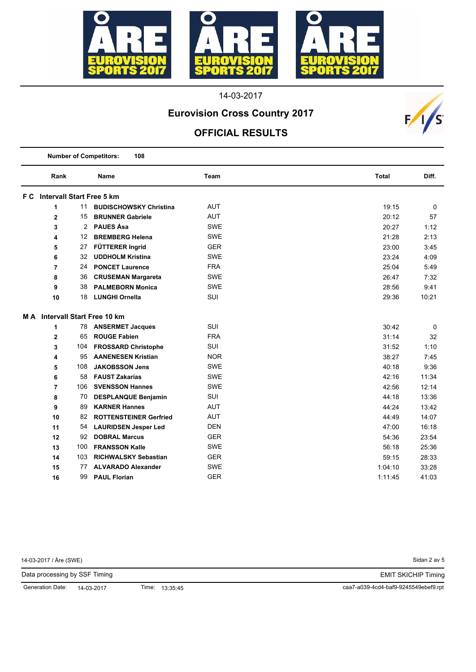

# **Eurovision Cross Country 2017**

### **OFFICIAL RESULTS**

|     | <b>Number of Competitors:</b><br>108 |     |                               |            |              |       |
|-----|--------------------------------------|-----|-------------------------------|------------|--------------|-------|
|     | Rank                                 |     | Name                          | Team       | <b>Total</b> | Diff. |
|     | <b>F C</b> Intervall Start Free 5 km |     |                               |            |              |       |
|     | 1                                    | 11  | <b>BUDISCHOWSKY Christina</b> | <b>AUT</b> | 19:15        | 0     |
|     | $\overline{2}$                       | 15  | <b>BRUNNER Gabriele</b>       | <b>AUT</b> | 20:12        | 57    |
|     | 3                                    | 2   | <b>PAUES Åsa</b>              | <b>SWE</b> | 20:27        | 1:12  |
|     | 4                                    | 12  | <b>BREMBERG Helena</b>        | <b>SWE</b> | 21:28        | 2:13  |
|     | 5                                    | 27  | FÜTTERER Ingrid               | <b>GER</b> | 23:00        | 3:45  |
|     | 6                                    | 32  | <b>UDDHOLM Kristina</b>       | <b>SWE</b> | 23:24        | 4:09  |
|     | $\overline{7}$                       | 24  | <b>PONCET Laurence</b>        | <b>FRA</b> | 25:04        | 5:49  |
|     | 8                                    | 36  | <b>CRUSEMAN Margareta</b>     | <b>SWE</b> | 26:47        | 7:32  |
|     | 9                                    | 38  | <b>PALMEBORN Monica</b>       | <b>SWE</b> | 28:56        | 9:41  |
|     | 10                                   | 18  | <b>LUNGHI Ornella</b>         | <b>SUI</b> | 29:36        | 10:21 |
| M A |                                      |     | Intervall Start Free 10 km    |            |              |       |
|     | 1                                    | 78  | <b>ANSERMET Jacques</b>       | <b>SUI</b> | 30:42        | 0     |
|     | $\mathbf 2$                          | 65  | <b>ROUGE Fabien</b>           | <b>FRA</b> | 31:14        | 32    |
|     | 3                                    | 104 | <b>FROSSARD Christophe</b>    | <b>SUI</b> | 31:52        | 1:10  |
|     | 4                                    | 95  | <b>AANENESEN Kristian</b>     | <b>NOR</b> | 38:27        | 7:45  |
|     | 5                                    | 108 | <b>JAKOBSSON Jens</b>         | <b>SWE</b> | 40:18        | 9:36  |
|     | 6                                    | 58  | <b>FAUST Zakarias</b>         | <b>SWE</b> | 42:16        | 11:34 |
|     | $\overline{7}$                       | 106 | <b>SVENSSON Hannes</b>        | <b>SWE</b> | 42:56        | 12:14 |
|     | 8                                    | 70  | <b>DESPLANQUE Benjamin</b>    | SUI        | 44:18        | 13:36 |
|     | 9                                    | 89  | <b>KARNER Hannes</b>          | <b>AUT</b> | 44:24        | 13:42 |
|     | 10                                   | 82  | <b>ROTTENSTEINER Gerfried</b> | AUT        | 44:49        | 14:07 |
|     | 11                                   | 54  | <b>LAURIDSEN Jesper Led</b>   | <b>DEN</b> | 47:00        | 16:18 |
|     | 12                                   | 92  | <b>DOBRAL Marcus</b>          | <b>GER</b> | 54:36        | 23:54 |
|     | 13                                   | 100 | <b>FRANSSON Kalle</b>         | <b>SWE</b> | 56:18        | 25:36 |
|     | 14                                   | 103 | <b>RICHWALSKY Sebastian</b>   | <b>GER</b> | 59:15        | 28:33 |
|     | 15                                   | 77  | <b>ALVARADO Alexander</b>     | <b>SWE</b> | 1:04:10      | 33:28 |
|     | 16                                   | 99  | <b>PAUL Florian</b>           | <b>GER</b> | 1:11:45      | 41:03 |

14-03-2017 / Åre (SWE)

Sidan 2 av 5

 $F/I/S$ 

EMIT SKICHIP Timing

Data processing by SSF Timing

Generation Date: 14-03-2017

Time: 13:35:45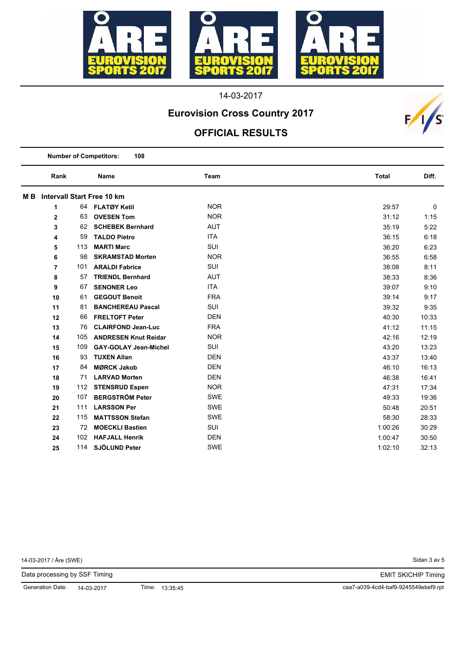

# **Eurovision Cross Country 2017**

#### **OFFICIAL RESULTS**

|     | <b>Number of Competitors:</b><br>108 |     |                                   |            |              |       |
|-----|--------------------------------------|-----|-----------------------------------|------------|--------------|-------|
|     | Rank                                 |     | <b>Name</b>                       | Team       | <b>Total</b> | Diff. |
| M B |                                      |     | <b>Intervall Start Free 10 km</b> |            |              |       |
|     | 1                                    | 64  | <b>FLATØY Ketil</b>               | <b>NOR</b> | 29:57        | 0     |
|     | $\mathbf 2$                          | 63  | <b>OVESEN Tom</b>                 | <b>NOR</b> | 31:12        | 1:15  |
|     | 3                                    | 62  | <b>SCHEBEK Bernhard</b>           | <b>AUT</b> | 35:19        | 5:22  |
|     | 4                                    | 59  | <b>TALDO Pietro</b>               | <b>ITA</b> | 36:15        | 6:18  |
|     | 5                                    | 113 | <b>MARTI Marc</b>                 | <b>SUI</b> | 36:20        | 6:23  |
|     | 6                                    | 98  | <b>SKRAMSTAD Morten</b>           | <b>NOR</b> | 36:55        | 6:58  |
|     | $\overline{7}$                       | 101 | <b>ARALDI Fabrice</b>             | <b>SUI</b> | 38:08        | 8:11  |
|     | 8                                    | 57  | <b>TRIENDL Bernhard</b>           | <b>AUT</b> | 38:33        | 8:36  |
|     | 9                                    | 67  | <b>SENONER Leo</b>                | <b>ITA</b> | 39:07        | 9:10  |
|     | 10                                   | 61  | <b>GEGOUT Benoit</b>              | <b>FRA</b> | 39:14        | 9:17  |
|     | 11                                   | 81  | <b>BANCHEREAU Pascal</b>          | SUI        | 39:32        | 9:35  |
|     | 12                                   | 66  | <b>FRELTOFT Peter</b>             | <b>DEN</b> | 40:30        | 10:33 |
|     | 13                                   | 76  | <b>CLAIRFOND Jean-Luc</b>         | <b>FRA</b> | 41:12        | 11:15 |
|     | 14                                   | 105 | <b>ANDRESEN Knut Reidar</b>       | <b>NOR</b> | 42:16        | 12:19 |
|     | 15                                   | 109 | <b>GAY-GOLAY Jean-Michel</b>      | <b>SUI</b> | 43:20        | 13:23 |
|     | 16                                   | 93  | <b>TUXEN Allan</b>                | <b>DEN</b> | 43:37        | 13:40 |
|     | 17                                   | 84  | <b>MØRCK Jakob</b>                | <b>DEN</b> | 46:10        | 16:13 |
|     | 18                                   | 71  | <b>LARVAD Morten</b>              | <b>DEN</b> | 46:38        | 16:41 |
|     | 19                                   | 112 | <b>STENSRUD Espen</b>             | <b>NOR</b> | 47:31        | 17:34 |
|     | 20                                   | 107 | <b>BERGSTRÖM Peter</b>            | <b>SWE</b> | 49:33        | 19:36 |
|     | 21                                   | 111 | <b>LARSSON Per</b>                | <b>SWE</b> | 50:48        | 20:51 |
|     | 22                                   | 115 | <b>MATTSSON Stefan</b>            | <b>SWE</b> | 58:30        | 28:33 |
|     | 23                                   | 72  | <b>MOECKLI Bastien</b>            | SUI        | 1:00:26      | 30:29 |
|     | 24                                   | 102 | <b>HAFJALL Henrik</b>             | <b>DEN</b> | 1:00:47      | 30:50 |
|     | 25                                   | 114 | SJÖLUND Peter                     | <b>SWE</b> | 1:02:10      | 32:13 |

14-03-2017 / Åre (SWE)

Sidan 3 av 5

 $F/I/S$ 

EMIT SKICHIP Timing

Data processing by SSF Timing

Generation Date: 14-03-2017

Time: 13:35:45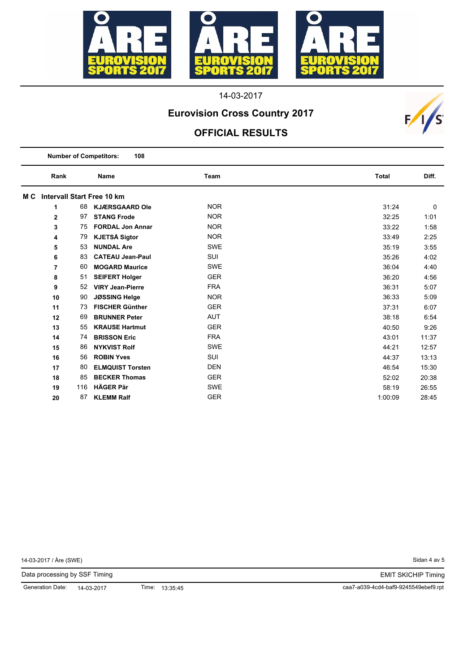

# **Eurovision Cross Country 2017**

#### **OFFICIAL RESULTS**

| <b>Number of Competitors:</b><br>108 |     |                         |            |              |       |  |
|--------------------------------------|-----|-------------------------|------------|--------------|-------|--|
| Rank                                 |     | <b>Name</b>             | Team       | <b>Total</b> | Diff. |  |
| M C Intervall Start Free 10 km       |     |                         |            |              |       |  |
| 1                                    | 68  | <b>KJÆRSGAARD Ole</b>   | <b>NOR</b> | 31:24        | 0     |  |
| $\mathbf 2$                          | 97  | <b>STANG Frode</b>      | <b>NOR</b> | 32:25        | 1:01  |  |
| 3                                    | 75  | <b>FORDAL Jon Annar</b> | <b>NOR</b> | 33:22        | 1:58  |  |
| 4                                    | 79  | <b>KJETSÅ Sigtor</b>    | <b>NOR</b> | 33:49        | 2:25  |  |
| 5                                    | 53  | <b>NUNDAL Are</b>       | <b>SWE</b> | 35:19        | 3:55  |  |
| 6                                    | 83  | <b>CATEAU Jean-Paul</b> | SUI        | 35:26        | 4:02  |  |
| 7                                    | 60  | <b>MOGARD Maurice</b>   | <b>SWE</b> | 36:04        | 4:40  |  |
| 8                                    | 51  | <b>SEIFERT Holger</b>   | <b>GER</b> | 36:20        | 4:56  |  |
| 9                                    | 52  | <b>VIRY Jean-Pierre</b> | <b>FRA</b> | 36:31        | 5:07  |  |
| 10                                   | 90  | <b>JØSSING Helge</b>    | <b>NOR</b> | 36:33        | 5:09  |  |
| 11                                   | 73  | <b>FISCHER Günther</b>  | <b>GER</b> | 37:31        | 6:07  |  |
| 12                                   | 69  | <b>BRUNNER Peter</b>    | <b>AUT</b> | 38:18        | 6:54  |  |
| 13                                   | 55  | <b>KRAUSE Hartmut</b>   | <b>GER</b> | 40:50        | 9:26  |  |
| 14                                   | 74  | <b>BRISSON Eric</b>     | <b>FRA</b> | 43:01        | 11:37 |  |
| 15                                   | 86  | <b>NYKVIST Rolf</b>     | <b>SWE</b> | 44:21        | 12:57 |  |
| 16                                   | 56  | <b>ROBIN Yves</b>       | SUI        | 44:37        | 13:13 |  |
| 17                                   | 80  | <b>ELMQUIST Torsten</b> | <b>DEN</b> | 46:54        | 15:30 |  |
| 18                                   | 85  | <b>BECKER Thomas</b>    | <b>GER</b> | 52:02        | 20:38 |  |
| 19                                   | 116 | <b>HÄGER Pär</b>        | <b>SWE</b> | 58:19        | 26:55 |  |
| 20                                   | 87  | <b>KLEMM Ralf</b>       | <b>GER</b> | 1:00:09      | 28:45 |  |

14-03-2017 / Åre (SWE)

Sidan 4 av 5

 $F/I/S$ 

EMIT SKICHIP Timing

Data processing by SSF Timing

Generation Date: 14-03-2017

Time: 13:35:45